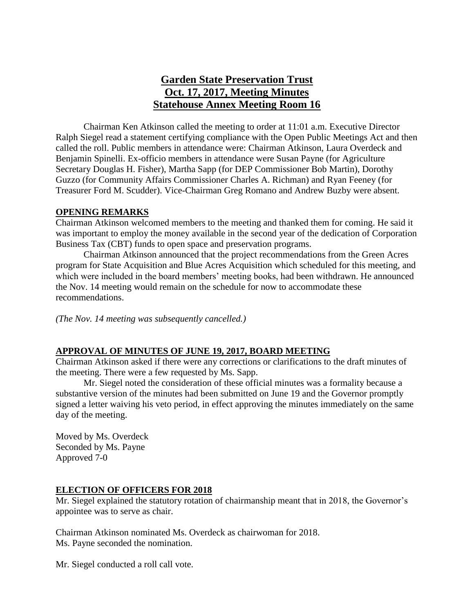# **Garden State Preservation Trust Oct. 17, 2017, Meeting Minutes Statehouse Annex Meeting Room 16**

Chairman Ken Atkinson called the meeting to order at 11:01 a.m. Executive Director Ralph Siegel read a statement certifying compliance with the Open Public Meetings Act and then called the roll. Public members in attendance were: Chairman Atkinson, Laura Overdeck and Benjamin Spinelli. Ex-officio members in attendance were Susan Payne (for Agriculture Secretary Douglas H. Fisher), Martha Sapp (for DEP Commissioner Bob Martin), Dorothy Guzzo (for Community Affairs Commissioner Charles A. Richman) and Ryan Feeney (for Treasurer Ford M. Scudder). Vice-Chairman Greg Romano and Andrew Buzby were absent.

### **OPENING REMARKS**

Chairman Atkinson welcomed members to the meeting and thanked them for coming. He said it was important to employ the money available in the second year of the dedication of Corporation Business Tax (CBT) funds to open space and preservation programs.

Chairman Atkinson announced that the project recommendations from the Green Acres program for State Acquisition and Blue Acres Acquisition which scheduled for this meeting, and which were included in the board members' meeting books, had been withdrawn. He announced the Nov. 14 meeting would remain on the schedule for now to accommodate these recommendations.

*(The Nov. 14 meeting was subsequently cancelled.)*

### **APPROVAL OF MINUTES OF JUNE 19, 2017, BOARD MEETING**

Chairman Atkinson asked if there were any corrections or clarifications to the draft minutes of the meeting. There were a few requested by Ms. Sapp.

Mr. Siegel noted the consideration of these official minutes was a formality because a substantive version of the minutes had been submitted on June 19 and the Governor promptly signed a letter waiving his veto period, in effect approving the minutes immediately on the same day of the meeting.

Moved by Ms. Overdeck Seconded by Ms. Payne Approved 7-0

### **ELECTION OF OFFICERS FOR 2018**

Mr. Siegel explained the statutory rotation of chairmanship meant that in 2018, the Governor's appointee was to serve as chair.

Chairman Atkinson nominated Ms. Overdeck as chairwoman for 2018. Ms. Payne seconded the nomination.

Mr. Siegel conducted a roll call vote.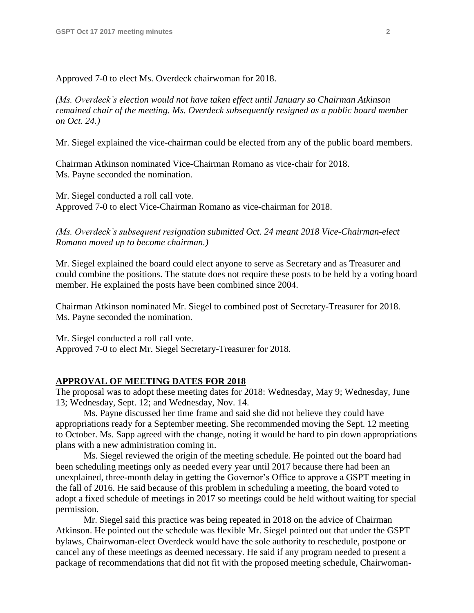Approved 7-0 to elect Ms. Overdeck chairwoman for 2018.

*(Ms. Overdeck's election would not have taken effect until January so Chairman Atkinson remained chair of the meeting. Ms. Overdeck subsequently resigned as a public board member on Oct. 24.)*

Mr. Siegel explained the vice-chairman could be elected from any of the public board members.

Chairman Atkinson nominated Vice-Chairman Romano as vice-chair for 2018. Ms. Payne seconded the nomination.

Mr. Siegel conducted a roll call vote. Approved 7-0 to elect Vice-Chairman Romano as vice-chairman for 2018.

*(Ms. Overdeck's subsequent resignation submitted Oct. 24 meant 2018 Vice-Chairman-elect Romano moved up to become chairman.)*

Mr. Siegel explained the board could elect anyone to serve as Secretary and as Treasurer and could combine the positions. The statute does not require these posts to be held by a voting board member. He explained the posts have been combined since 2004.

Chairman Atkinson nominated Mr. Siegel to combined post of Secretary-Treasurer for 2018. Ms. Payne seconded the nomination.

Mr. Siegel conducted a roll call vote. Approved 7-0 to elect Mr. Siegel Secretary-Treasurer for 2018.

#### **APPROVAL OF MEETING DATES FOR 2018**

The proposal was to adopt these meeting dates for 2018: Wednesday, May 9; Wednesday, June 13; Wednesday, Sept. 12; and Wednesday, Nov. 14.

Ms. Payne discussed her time frame and said she did not believe they could have appropriations ready for a September meeting. She recommended moving the Sept. 12 meeting to October. Ms. Sapp agreed with the change, noting it would be hard to pin down appropriations plans with a new administration coming in.

Ms. Siegel reviewed the origin of the meeting schedule. He pointed out the board had been scheduling meetings only as needed every year until 2017 because there had been an unexplained, three-month delay in getting the Governor's Office to approve a GSPT meeting in the fall of 2016. He said because of this problem in scheduling a meeting, the board voted to adopt a fixed schedule of meetings in 2017 so meetings could be held without waiting for special permission.

Mr. Siegel said this practice was being repeated in 2018 on the advice of Chairman Atkinson. He pointed out the schedule was flexible Mr. Siegel pointed out that under the GSPT bylaws, Chairwoman-elect Overdeck would have the sole authority to reschedule, postpone or cancel any of these meetings as deemed necessary. He said if any program needed to present a package of recommendations that did not fit with the proposed meeting schedule, Chairwoman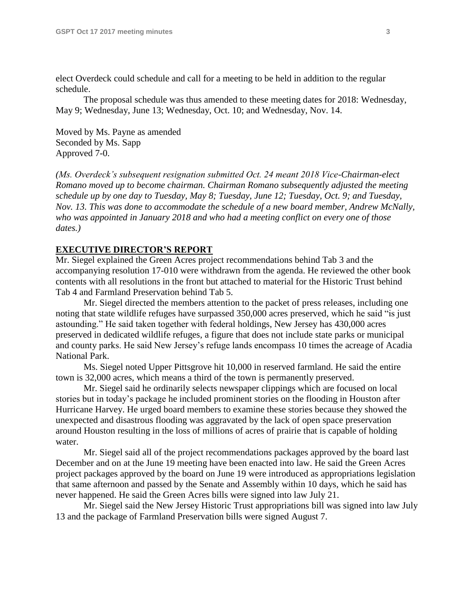elect Overdeck could schedule and call for a meeting to be held in addition to the regular schedule.

The proposal schedule was thus amended to these meeting dates for 2018: Wednesday, May 9; Wednesday, June 13; Wednesday, Oct. 10; and Wednesday, Nov. 14.

Moved by Ms. Payne as amended Seconded by Ms. Sapp Approved 7-0.

*(Ms. Overdeck's subsequent resignation submitted Oct. 24 meant 2018 Vice-Chairman-elect Romano moved up to become chairman. Chairman Romano subsequently adjusted the meeting schedule up by one day to Tuesday, May 8; Tuesday, June 12; Tuesday, Oct. 9; and Tuesday, Nov. 13. This was done to accommodate the schedule of a new board member, Andrew McNally, who was appointed in January 2018 and who had a meeting conflict on every one of those dates.)*

#### **EXECUTIVE DIRECTOR'S REPORT**

Mr. Siegel explained the Green Acres project recommendations behind Tab 3 and the accompanying resolution 17-010 were withdrawn from the agenda. He reviewed the other book contents with all resolutions in the front but attached to material for the Historic Trust behind Tab 4 and Farmland Preservation behind Tab 5.

Mr. Siegel directed the members attention to the packet of press releases, including one noting that state wildlife refuges have surpassed 350,000 acres preserved, which he said "is just astounding." He said taken together with federal holdings, New Jersey has 430,000 acres preserved in dedicated wildlife refuges, a figure that does not include state parks or municipal and county parks. He said New Jersey's refuge lands encompass 10 times the acreage of Acadia National Park.

Ms. Siegel noted Upper Pittsgrove hit 10,000 in reserved farmland. He said the entire town is 32,000 acres, which means a third of the town is permanently preserved.

Mr. Siegel said he ordinarily selects newspaper clippings which are focused on local stories but in today's package he included prominent stories on the flooding in Houston after Hurricane Harvey. He urged board members to examine these stories because they showed the unexpected and disastrous flooding was aggravated by the lack of open space preservation around Houston resulting in the loss of millions of acres of prairie that is capable of holding water.

Mr. Siegel said all of the project recommendations packages approved by the board last December and on at the June 19 meeting have been enacted into law. He said the Green Acres project packages approved by the board on June 19 were introduced as appropriations legislation that same afternoon and passed by the Senate and Assembly within 10 days, which he said has never happened. He said the Green Acres bills were signed into law July 21.

Mr. Siegel said the New Jersey Historic Trust appropriations bill was signed into law July 13 and the package of Farmland Preservation bills were signed August 7.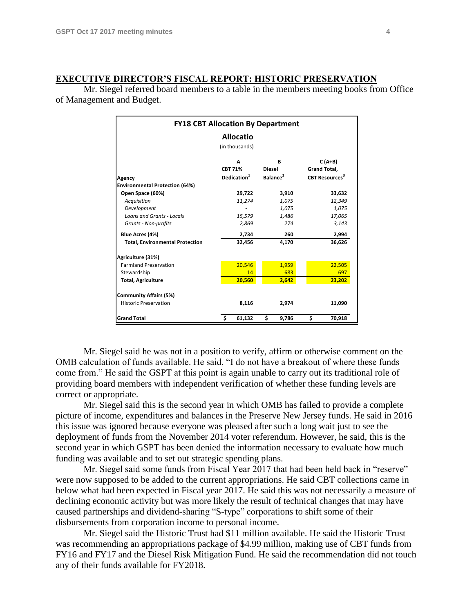#### **EXECUTIVE DIRECTOR'S FISCAL REPORT: HISTORIC PRESERVATION**

Mr. Siegel referred board members to a table in the members meeting books from Office of Management and Budget.

| <b>FY18 CBT Allocation By Department</b> |                         |                      |                                  |  |  |  |  |  |  |  |
|------------------------------------------|-------------------------|----------------------|----------------------------------|--|--|--|--|--|--|--|
| <b>Allocatio</b>                         |                         |                      |                                  |  |  |  |  |  |  |  |
| (in thousands)                           |                         |                      |                                  |  |  |  |  |  |  |  |
|                                          | A                       | В                    | $C(A+B)$                         |  |  |  |  |  |  |  |
|                                          | <b>CBT 71%</b>          | <b>Diesel</b>        | Grand Total,                     |  |  |  |  |  |  |  |
| Agency                                   | Dedication <sup>1</sup> | Balance <sup>2</sup> | <b>CBT Resources<sup>3</sup></b> |  |  |  |  |  |  |  |
| <b>Environmental Protection (64%)</b>    |                         |                      |                                  |  |  |  |  |  |  |  |
| Open Space (60%)                         | 29,722                  | 3,910                | 33,632                           |  |  |  |  |  |  |  |
| Acquisition                              | 11,274                  | 1,075                | 12,349                           |  |  |  |  |  |  |  |
| Development                              |                         | 1,075                | 1,075                            |  |  |  |  |  |  |  |
| <b>Loans and Grants - Locals</b>         | 15.579                  | 1.486                | 17,065                           |  |  |  |  |  |  |  |
| <b>Grants - Non-profits</b>              | 2,869                   | 274                  | 3,143                            |  |  |  |  |  |  |  |
| Blue Acres (4%)                          | 2,734                   | 260                  | 2,994                            |  |  |  |  |  |  |  |
| <b>Total, Environmental Protection</b>   | 32,456                  | 4,170                | 36,626                           |  |  |  |  |  |  |  |
| Agriculture (31%)                        |                         |                      |                                  |  |  |  |  |  |  |  |
| <b>Farmland Preservation</b>             | 20,546                  | 1,959                | 22,505                           |  |  |  |  |  |  |  |
| Stewardship                              | 14                      | 683                  | 697                              |  |  |  |  |  |  |  |
| <b>Total, Agriculture</b>                | 20,560                  | 2,642                | 23,202                           |  |  |  |  |  |  |  |
| <b>Community Affairs (5%)</b>            |                         |                      |                                  |  |  |  |  |  |  |  |
| <b>Historic Preservation</b>             | 8,116                   | 2,974                | 11,090                           |  |  |  |  |  |  |  |
| <b>Grand Total</b>                       | \$<br>61,132            | \$<br>9,786          | \$<br>70,918                     |  |  |  |  |  |  |  |

Mr. Siegel said he was not in a position to verify, affirm or otherwise comment on the OMB calculation of funds available. He said, "I do not have a breakout of where these funds come from." He said the GSPT at this point is again unable to carry out its traditional role of providing board members with independent verification of whether these funding levels are correct or appropriate.

Mr. Siegel said this is the second year in which OMB has failed to provide a complete picture of income, expenditures and balances in the Preserve New Jersey funds. He said in 2016 this issue was ignored because everyone was pleased after such a long wait just to see the deployment of funds from the November 2014 voter referendum. However, he said, this is the second year in which GSPT has been denied the information necessary to evaluate how much funding was available and to set out strategic spending plans.

Mr. Siegel said some funds from Fiscal Year 2017 that had been held back in "reserve" were now supposed to be added to the current appropriations. He said CBT collections came in below what had been expected in Fiscal year 2017. He said this was not necessarily a measure of declining economic activity but was more likely the result of technical changes that may have caused partnerships and dividend-sharing "S-type" corporations to shift some of their disbursements from corporation income to personal income.

Mr. Siegel said the Historic Trust had \$11 million available. He said the Historic Trust was recommending an appropriations package of \$4.99 million, making use of CBT funds from FY16 and FY17 and the Diesel Risk Mitigation Fund. He said the recommendation did not touch any of their funds available for FY2018.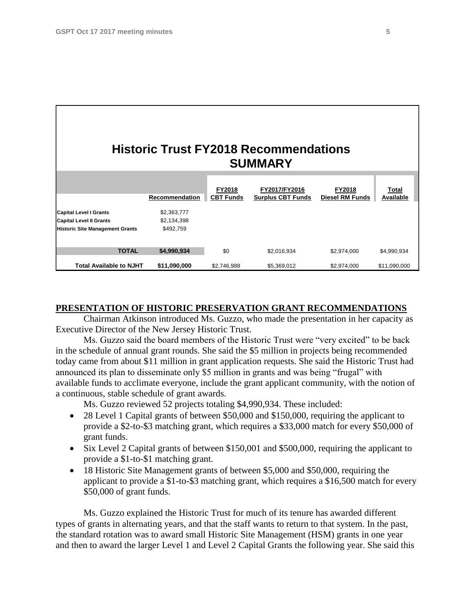| <b>Historic Trust FY2018 Recommendations</b><br><b>SUMMARY</b>                                            |                                         |                                   |                                           |                                  |                             |  |  |  |  |  |
|-----------------------------------------------------------------------------------------------------------|-----------------------------------------|-----------------------------------|-------------------------------------------|----------------------------------|-----------------------------|--|--|--|--|--|
|                                                                                                           | Recommendation                          | <b>FY2018</b><br><b>CBT Funds</b> | FY2017/FY2016<br><b>Surplus CBT Funds</b> | FY2018<br><b>Diesel RM Funds</b> | Total<br>Available          |  |  |  |  |  |
| <b>Capital Level I Grants</b><br><b>Capital Level II Grants</b><br><b>Historic Site Management Grants</b> | \$2,363,777<br>\$2,134,398<br>\$492,759 |                                   |                                           |                                  |                             |  |  |  |  |  |
| <b>TOTAL</b><br><b>Total Available to NJHT</b>                                                            | \$4,990,934<br>\$11,090,000             | \$0<br>\$2,746,988                | \$2,016,934<br>\$5,369,012                | \$2,974,000<br>\$2,974,000       | \$4,990,934<br>\$11,090,000 |  |  |  |  |  |

#### **PRESENTATION OF HISTORIC PRESERVATION GRANT RECOMMENDATIONS**

Chairman Atkinson introduced Ms. Guzzo, who made the presentation in her capacity as Executive Director of the New Jersey Historic Trust.

Ms. Guzzo said the board members of the Historic Trust were "very excited" to be back in the schedule of annual grant rounds. She said the \$5 million in projects being recommended today came from about \$11 million in grant application requests. She said the Historic Trust had announced its plan to disseminate only \$5 million in grants and was being "frugal" with available funds to acclimate everyone, include the grant applicant community, with the notion of a continuous, stable schedule of grant awards.

Ms. Guzzo reviewed 52 projects totaling \$4,990,934. These included:

- 28 Level 1 Capital grants of between \$50,000 and \$150,000, requiring the applicant to provide a \$2-to-\$3 matching grant, which requires a \$33,000 match for every \$50,000 of grant funds.
- Six Level 2 Capital grants of between \$150,001 and \$500,000, requiring the applicant to provide a \$1-to-\$1 matching grant.
- 18 Historic Site Management grants of between \$5,000 and \$50,000, requiring the applicant to provide a \$1-to-\$3 matching grant, which requires a \$16,500 match for every \$50,000 of grant funds.

Ms. Guzzo explained the Historic Trust for much of its tenure has awarded different types of grants in alternating years, and that the staff wants to return to that system. In the past, the standard rotation was to award small Historic Site Management (HSM) grants in one year and then to award the larger Level 1 and Level 2 Capital Grants the following year. She said this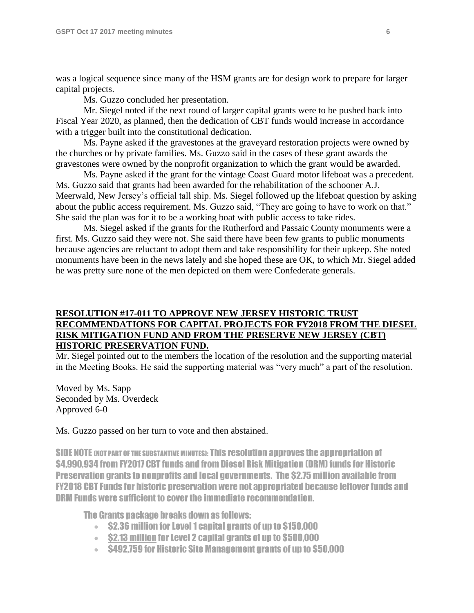was a logical sequence since many of the HSM grants are for design work to prepare for larger capital projects.

Ms. Guzzo concluded her presentation.

Mr. Siegel noted if the next round of larger capital grants were to be pushed back into Fiscal Year 2020, as planned, then the dedication of CBT funds would increase in accordance with a trigger built into the constitutional dedication.

Ms. Payne asked if the gravestones at the graveyard restoration projects were owned by the churches or by private families. Ms. Guzzo said in the cases of these grant awards the gravestones were owned by the nonprofit organization to which the grant would be awarded.

Ms. Payne asked if the grant for the vintage Coast Guard motor lifeboat was a precedent. Ms. Guzzo said that grants had been awarded for the rehabilitation of the schooner A.J. Meerwald, New Jersey's official tall ship. Ms. Siegel followed up the lifeboat question by asking about the public access requirement. Ms. Guzzo said, "They are going to have to work on that." She said the plan was for it to be a working boat with public access to take rides.

Ms. Siegel asked if the grants for the Rutherford and Passaic County monuments were a first. Ms. Guzzo said they were not. She said there have been few grants to public monuments because agencies are reluctant to adopt them and take responsibility for their upkeep. She noted monuments have been in the news lately and she hoped these are OK, to which Mr. Siegel added he was pretty sure none of the men depicted on them were Confederate generals.

### **RESOLUTION #17-011 TO APPROVE NEW JERSEY HISTORIC TRUST RECOMMENDATIONS FOR CAPITAL PROJECTS FOR FY2018 FROM THE DIESEL RISK MITIGATION FUND AND FROM THE PRESERVE NEW JERSEY (CBT) HISTORIC PRESERVATION FUND.**

Mr. Siegel pointed out to the members the location of the resolution and the supporting material in the Meeting Books. He said the supporting material was "very much" a part of the resolution.

Moved by Ms. Sapp Seconded by Ms. Overdeck Approved 6-0

#### Ms. Guzzo passed on her turn to vote and then abstained.

SIDE NOTE (NOT PART OF THE SUBSTANTIVE MINUTES): This resolution approves the appropriation of \$4,990,934 from FY2017 CBT funds and from Diesel Risk Mitigation (DRM) funds for Historic Preservation grants to nonprofits and local governments. The \$2.75 million available from FY2018 CBT Funds for historic preservation were not appropriated because leftover funds and DRM Funds were sufficient to cover the immediate recommendation.

The Grants package breaks down as follows:

- $\bullet$  S2.36 million for Level 1 capital grants of up to \$150,000
- $\cdot$  \$2.13 million for Level 2 capital grants of up to \$500,000
- $\bullet$  \$492.759 for Historic Site Management grants of up to \$50.000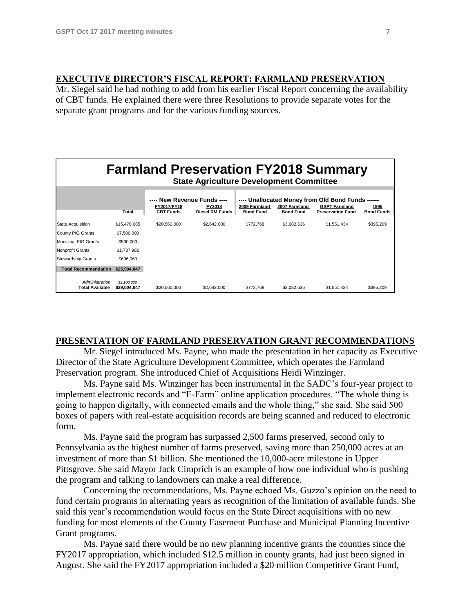### **EXECUTIVE DIRECTOR'S FISCAL REPORT: FARMLAND PRESERVATION**

Mr. Siegel said he had nothing to add from his earlier Fiscal Report concerning the availability of CBT funds. He explained there were three Resolutions to provide separate votes for the separate grant programs and for the various funding sources.

| <b>Farmland Preservation FY2018 Summary</b><br><b>State Agriculture Development Committee</b> |                             |                                                                |                                  |                                   |                                   |                                                                                                       |                           |  |  |
|-----------------------------------------------------------------------------------------------|-----------------------------|----------------------------------------------------------------|----------------------------------|-----------------------------------|-----------------------------------|-------------------------------------------------------------------------------------------------------|---------------------------|--|--|
|                                                                                               | Total                       | ---- New Revenue Funds ----<br>FY2017/FY18<br><b>CBT Funds</b> | FY2018<br><b>Diesel RM Funds</b> | 2009 Farmland<br><b>Bond Fund</b> | 2007 Farmland<br><b>Bond Fund</b> | ---- Unallocated Money from Old Bond Funds ------<br><b>GSPT Farmland</b><br><b>Preservation Fund</b> | 1995<br><b>Bond Funds</b> |  |  |
| <b>State Acquisition</b>                                                                      | \$15,470,085                | \$20,560,000                                                   | \$2,642,000                      | \$772,768                         | \$3,082,636                       | \$1,551,434                                                                                           | \$395,209                 |  |  |
| <b>County PIG Grants</b>                                                                      | \$7,500,000                 |                                                                |                                  |                                   |                                   |                                                                                                       |                           |  |  |
| <b>Municipal PIG Grants</b>                                                                   | \$500,000                   |                                                                |                                  |                                   |                                   |                                                                                                       |                           |  |  |
| <b>Nonprofit Grants</b>                                                                       | \$1,737,902                 |                                                                |                                  |                                   |                                   |                                                                                                       |                           |  |  |
| <b>Stewardship Grants</b>                                                                     | \$696,060                   |                                                                |                                  |                                   |                                   |                                                                                                       |                           |  |  |
| <b>Total Recommendation</b>                                                                   | \$25,904,047                |                                                                |                                  |                                   |                                   |                                                                                                       |                           |  |  |
| Administration<br><b>Total Available</b>                                                      | \$3,100,000<br>\$29.004.047 | \$20,560,000                                                   | \$2,642,000                      | \$772.768                         | \$3.082.636                       | \$1.551.434                                                                                           | \$395.209                 |  |  |

### **PRESENTATION OF FARMLAND PRESERVATION GRANT RECOMMENDATIONS**

Mr. Siegel introduced Ms. Payne, who made the presentation in her capacity as Executive Director of the State Agriculture Development Committee, which operates the Farmland Preservation program. She introduced Chief of Acquisitions Heidi Winzinger.

Ms. Payne said Ms. Winzinger has been instrumental in the SADC's four-year project to implement electronic records and "E-Farm" online application procedures. "The whole thing is going to happen digitally, with connected emails and the whole thing," she said. She said 500 boxes of papers with real-estate acquisition records are being scanned and reduced to electronic form.

Ms. Payne said the program has surpassed 2,500 farms preserved, second only to Pennsylvania as the highest number of farms preserved, saving more than 250,000 acres at an investment of more than \$1 billion. She mentioned the 10,000-acre milestone in Upper Pittsgrove. She said Mayor Jack Cimprich is an example of how one individual who is pushing the program and talking to landowners can make a real difference.

Concerning the recommendations, Ms. Payne echoed Ms. Guzzo's opinion on the need to fund certain programs in alternating years as recognition of the limitation of available funds. She said this year's recommendation would focus on the State Direct acquisitions with no new funding for most elements of the County Easement Purchase and Municipal Planning Incentive Grant programs.

Ms. Payne said there would be no new planning incentive grants the counties since the FY2017 appropriation, which included \$12.5 million in county grants, had just been signed in August. She said the FY2017 appropriation included a \$20 million Competitive Grant Fund,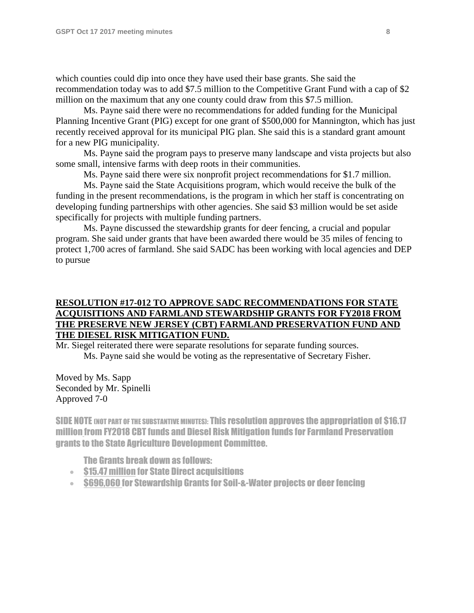which counties could dip into once they have used their base grants. She said the recommendation today was to add \$7.5 million to the Competitive Grant Fund with a cap of \$2 million on the maximum that any one county could draw from this \$7.5 million.

Ms. Payne said there were no recommendations for added funding for the Municipal Planning Incentive Grant (PIG) except for one grant of \$500,000 for Mannington, which has just recently received approval for its municipal PIG plan. She said this is a standard grant amount for a new PIG municipality.

Ms. Payne said the program pays to preserve many landscape and vista projects but also some small, intensive farms with deep roots in their communities.

Ms. Payne said there were six nonprofit project recommendations for \$1.7 million.

Ms. Payne said the State Acquisitions program, which would receive the bulk of the funding in the present recommendations, is the program in which her staff is concentrating on developing funding partnerships with other agencies. She said \$3 million would be set aside specifically for projects with multiple funding partners.

Ms. Payne discussed the stewardship grants for deer fencing, a crucial and popular program. She said under grants that have been awarded there would be 35 miles of fencing to protect 1,700 acres of farmland. She said SADC has been working with local agencies and DEP to pursue

### **RESOLUTION #17-012 TO APPROVE SADC RECOMMENDATIONS FOR STATE ACQUISITIONS AND FARMLAND STEWARDSHIP GRANTS FOR FY2018 FROM THE PRESERVE NEW JERSEY (CBT) FARMLAND PRESERVATION FUND AND THE DIESEL RISK MITIGATION FUND.**

Mr. Siegel reiterated there were separate resolutions for separate funding sources. Ms. Payne said she would be voting as the representative of Secretary Fisher.

Moved by Ms. Sapp Seconded by Mr. Spinelli Approved 7-0

SIDE NOTE (NOT PART OF THE SUBSTANTIVE MINUTES): This resolution approves the appropriation of \$16.17 million from FY2018 CBT funds and Diesel Risk Mitigation funds for Farmland Preservation grants to the State Agriculture Development Committee.

The Grants break down as follows:

- **S15.47 million for State Direct acquisitions**
- S696,060 for Stewardship Grants for Soil-&-Water projects or deer fencing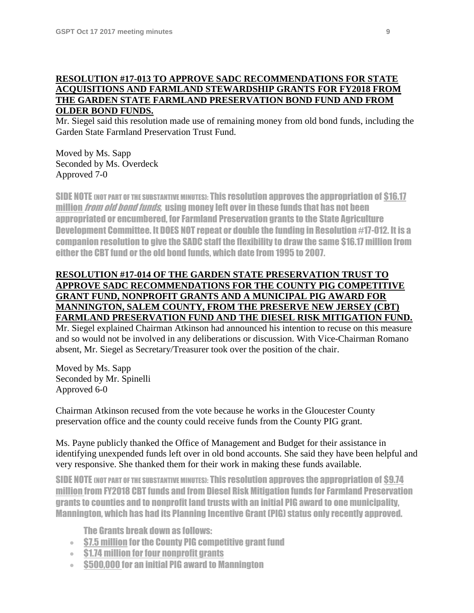### **RESOLUTION #17-013 TO APPROVE SADC RECOMMENDATIONS FOR STATE ACQUISITIONS AND FARMLAND STEWARDSHIP GRANTS FOR FY2018 FROM THE GARDEN STATE FARMLAND PRESERVATION BOND FUND AND FROM OLDER BOND FUNDS.**

Mr. Siegel said this resolution made use of remaining money from old bond funds, including the Garden State Farmland Preservation Trust Fund.

Moved by Ms. Sapp Seconded by Ms. Overdeck Approved 7-0

SIDE NOTE (NOT PART OF THE SUBSTANTIVE MINUTES): This resolution approves the appropriation of \$16.17 million *from old bond funds*, using money left over in these funds that has not been appropriated or encumbered, for Farmland Preservation grants to the State Agriculture Development Committee. It DOES NOT repeat or double the funding in Resolution #17-012. It is a companion resolution to give the SADC staff the flexibility to draw the same \$16.17 million from either the CBT fund or the old bond funds, which date from 1995 to 2007.

## **RESOLUTION #17-014 OF THE GARDEN STATE PRESERVATION TRUST TO APPROVE SADC RECOMMENDATIONS FOR THE COUNTY PIG COMPETITIVE GRANT FUND, NONPROFIT GRANTS AND A MUNICIPAL PIG AWARD FOR MANNINGTON, SALEM COUNTY, FROM THE PRESERVE NEW JERSEY (CBT) FARMLAND PRESERVATION FUND AND THE DIESEL RISK MITIGATION FUND.**

Mr. Siegel explained Chairman Atkinson had announced his intention to recuse on this measure and so would not be involved in any deliberations or discussion. With Vice-Chairman Romano absent, Mr. Siegel as Secretary/Treasurer took over the position of the chair.

Moved by Ms. Sapp Seconded by Mr. Spinelli Approved 6-0

Chairman Atkinson recused from the vote because he works in the Gloucester County preservation office and the county could receive funds from the County PIG grant.

Ms. Payne publicly thanked the Office of Management and Budget for their assistance in identifying unexpended funds left over in old bond accounts. She said they have been helpful and very responsive. She thanked them for their work in making these funds available.

SIDE NOTE (NOT PART OF THE SUBSTANTIVE MINUTES): This resolution approves the appropriation of \$9.74 million from FY2018 CBT funds and from Diesel Risk Mitigation funds for Farmland Preservation grants to counties and to nonprofit land trusts with an initial PIG award to one municipality, Mannington, which has had its Planning Incentive Grant (PIG) status only recently approved.

The Grants break down as follows:

- S7.5 million for the County PIG competitive grant fund
- **S1.74 million for four nonprofit grants**
- **\$500,000 for an initial PIG award to Mannington**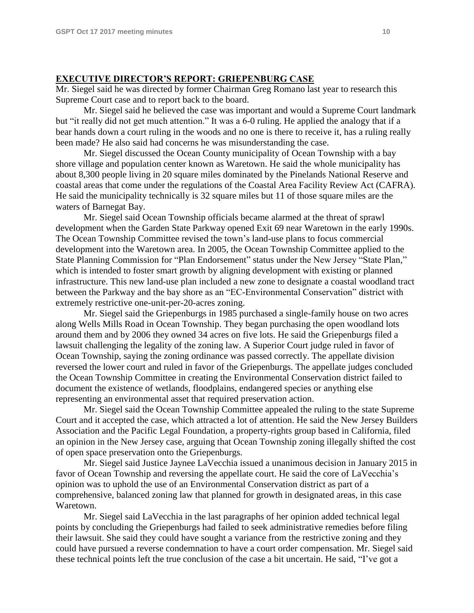### **EXECUTIVE DIRECTOR'S REPORT: GRIEPENBURG CASE**

Mr. Siegel said he was directed by former Chairman Greg Romano last year to research this Supreme Court case and to report back to the board.

Mr. Siegel said he believed the case was important and would a Supreme Court landmark but "it really did not get much attention." It was a 6-0 ruling. He applied the analogy that if a bear hands down a court ruling in the woods and no one is there to receive it, has a ruling really been made? He also said had concerns he was misunderstanding the case.

Mr. Siegel discussed the Ocean County municipality of Ocean Township with a bay shore village and population center known as Waretown. He said the whole municipality has about 8,300 people living in 20 square miles dominated by the Pinelands National Reserve and coastal areas that come under the regulations of the Coastal Area Facility Review Act (CAFRA). He said the municipality technically is 32 square miles but 11 of those square miles are the waters of Barnegat Bay.

Mr. Siegel said Ocean Township officials became alarmed at the threat of sprawl development when the Garden State Parkway opened Exit 69 near Waretown in the early 1990s. The Ocean Township Committee revised the town's land-use plans to focus commercial development into the Waretown area. In 2005, the Ocean Township Committee applied to the State Planning Commission for "Plan Endorsement" status under the New Jersey "State Plan," which is intended to foster smart growth by aligning development with existing or planned infrastructure. This new land-use plan included a new zone to designate a coastal woodland tract between the Parkway and the bay shore as an "EC-Environmental Conservation" district with extremely restrictive one-unit-per-20-acres zoning.

Mr. Siegel said the Griepenburgs in 1985 purchased a single-family house on two acres along Wells Mills Road in Ocean Township. They began purchasing the open woodland lots around them and by 2006 they owned 34 acres on five lots. He said the Griepenburgs filed a lawsuit challenging the legality of the zoning law. A Superior Court judge ruled in favor of Ocean Township, saying the zoning ordinance was passed correctly. The appellate division reversed the lower court and ruled in favor of the Griepenburgs. The appellate judges concluded the Ocean Township Committee in creating the Environmental Conservation district failed to document the existence of wetlands, floodplains, endangered species or anything else representing an environmental asset that required preservation action.

Mr. Siegel said the Ocean Township Committee appealed the ruling to the state Supreme Court and it accepted the case, which attracted a lot of attention. He said the New Jersey Builders Association and the Pacific Legal Foundation, a property-rights group based in California, filed an opinion in the New Jersey case, arguing that Ocean Township zoning illegally shifted the cost of open space preservation onto the Griepenburgs.

Mr. Siegel said Justice Jaynee LaVecchia issued a unanimous decision in January 2015 in favor of Ocean Township and reversing the appellate court. He said the core of LaVecchia's opinion was to uphold the use of an Environmental Conservation district as part of a comprehensive, balanced zoning law that planned for growth in designated areas, in this case Waretown.

Mr. Siegel said LaVecchia in the last paragraphs of her opinion added technical legal points by concluding the Griepenburgs had failed to seek administrative remedies before filing their lawsuit. She said they could have sought a variance from the restrictive zoning and they could have pursued a reverse condemnation to have a court order compensation. Mr. Siegel said these technical points left the true conclusion of the case a bit uncertain. He said, "I've got a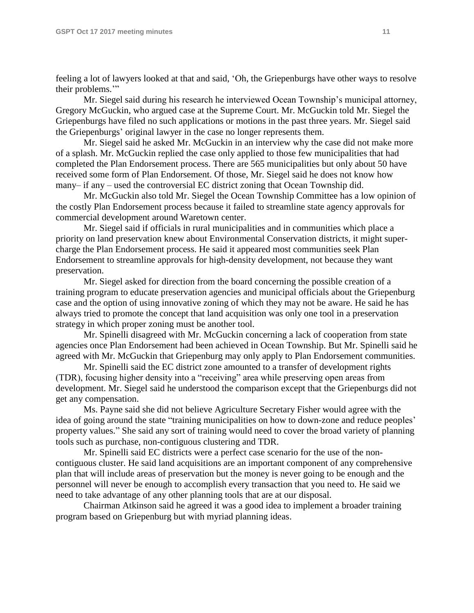feeling a lot of lawyers looked at that and said, 'Oh, the Griepenburgs have other ways to resolve their problems."

Mr. Siegel said during his research he interviewed Ocean Township's municipal attorney, Gregory McGuckin, who argued case at the Supreme Court. Mr. McGuckin told Mr. Siegel the Griepenburgs have filed no such applications or motions in the past three years. Mr. Siegel said the Griepenburgs' original lawyer in the case no longer represents them.

Mr. Siegel said he asked Mr. McGuckin in an interview why the case did not make more of a splash. Mr. McGuckin replied the case only applied to those few municipalities that had completed the Plan Endorsement process. There are 565 municipalities but only about 50 have received some form of Plan Endorsement. Of those, Mr. Siegel said he does not know how many– if any – used the controversial EC district zoning that Ocean Township did.

Mr. McGuckin also told Mr. Siegel the Ocean Township Committee has a low opinion of the costly Plan Endorsement process because it failed to streamline state agency approvals for commercial development around Waretown center.

Mr. Siegel said if officials in rural municipalities and in communities which place a priority on land preservation knew about Environmental Conservation districts, it might supercharge the Plan Endorsement process. He said it appeared most communities seek Plan Endorsement to streamline approvals for high-density development, not because they want preservation.

Mr. Siegel asked for direction from the board concerning the possible creation of a training program to educate preservation agencies and municipal officials about the Griepenburg case and the option of using innovative zoning of which they may not be aware. He said he has always tried to promote the concept that land acquisition was only one tool in a preservation strategy in which proper zoning must be another tool.

Mr. Spinelli disagreed with Mr. McGuckin concerning a lack of cooperation from state agencies once Plan Endorsement had been achieved in Ocean Township. But Mr. Spinelli said he agreed with Mr. McGuckin that Griepenburg may only apply to Plan Endorsement communities.

Mr. Spinelli said the EC district zone amounted to a transfer of development rights (TDR), focusing higher density into a "receiving" area while preserving open areas from development. Mr. Siegel said he understood the comparison except that the Griepenburgs did not get any compensation.

Ms. Payne said she did not believe Agriculture Secretary Fisher would agree with the idea of going around the state "training municipalities on how to down-zone and reduce peoples' property values." She said any sort of training would need to cover the broad variety of planning tools such as purchase, non-contiguous clustering and TDR.

Mr. Spinelli said EC districts were a perfect case scenario for the use of the noncontiguous cluster. He said land acquisitions are an important component of any comprehensive plan that will include areas of preservation but the money is never going to be enough and the personnel will never be enough to accomplish every transaction that you need to. He said we need to take advantage of any other planning tools that are at our disposal.

Chairman Atkinson said he agreed it was a good idea to implement a broader training program based on Griepenburg but with myriad planning ideas.